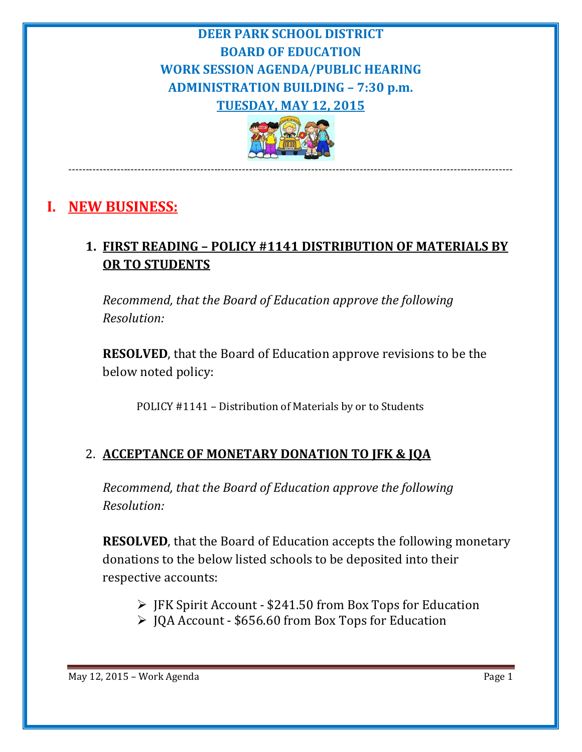# **DEER PARK SCHOOL DISTRICT BOARD OF EDUCATION WORK SESSION AGENDA/PUBLIC HEARING ADMINISTRATION BUILDING – 7:30 p.m. TUESDAY, MAY 12, 2015**



‐‐‐‐‐‐‐‐‐‐‐‐‐‐‐‐‐‐‐‐‐‐‐‐‐‐‐‐‐‐‐‐‐‐‐‐‐‐‐‐‐‐‐‐‐‐‐‐‐‐‐‐‐‐‐‐‐‐‐‐‐‐‐‐‐‐‐‐‐‐‐‐‐‐‐‐‐‐‐‐‐‐‐‐‐‐‐‐‐‐‐‐‐‐‐‐‐‐‐‐‐‐‐‐‐‐‐‐‐‐‐‐‐‐‐‐‐‐‐‐‐‐‐‐‐‐‐‐

# **I. NEW BUSINESS:**

# **1. FIRST READING – POLICY #1141 DISTRIBUTION OF MATERIALS BY OR TO STUDENTS**

*Recommend, that the Board of Education approve the following Resolution:*

**RESOLVED**, that the Board of Education approve revisions to be the below noted policy:

POLICY #1141 - Distribution of Materials by or to Students

## 2. **ACCEPTANCE OF MONETARY DONATION TO JFK & JQA**

*Recommend, that the Board of Education approve the following Resolution:*

**RESOLVED**, that the Board of Education accepts the following monetary donations to the below listed schools to be deposited into their respective accounts:

- $\triangleright$  JFK Spirit Account \$241.50 from Box Tops for Education
- $\triangleright$  JQA Account \$656.60 from Box Tops for Education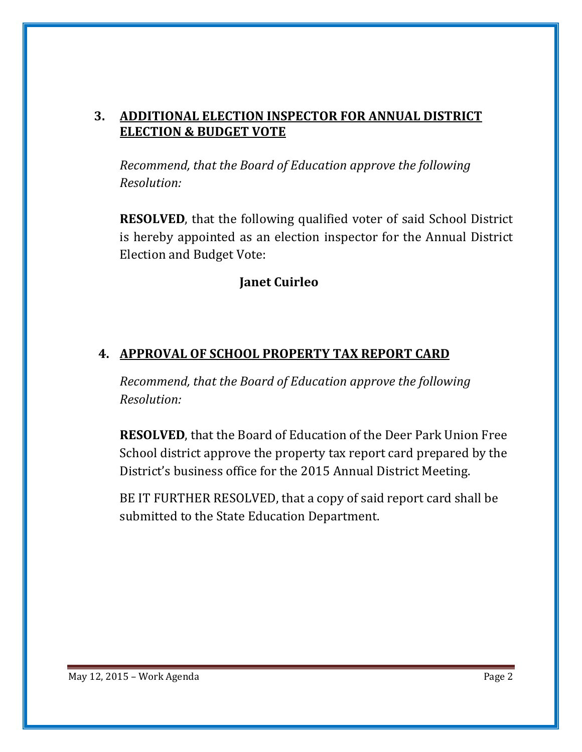#### **3. ADDITIONAL ELECTION INSPECTOR FOR ANNUAL DISTRICT ELECTION & BUDGET VOTE**

*Recommend, that the Board of Education approve the following Resolution:*

**RESOLVED**, that the following qualified voter of said School District is hereby appointed as an election inspector for the Annual District Election and Budget Vote:

#### **Janet Cuirleo**

### **4. APPROVAL OF SCHOOL PROPERTY TAX REPORT CARD**

*Recommend, that the Board of Education approve the following Resolution:*

**RESOLVED**, that the Board of Education of the Deer Park Union Free School district approve the property tax report card prepared by the District's business office for the 2015 Annual District Meeting.

BE IT FURTHER RESOLVED, that a copy of said report card shall be submitted to the State Education Department.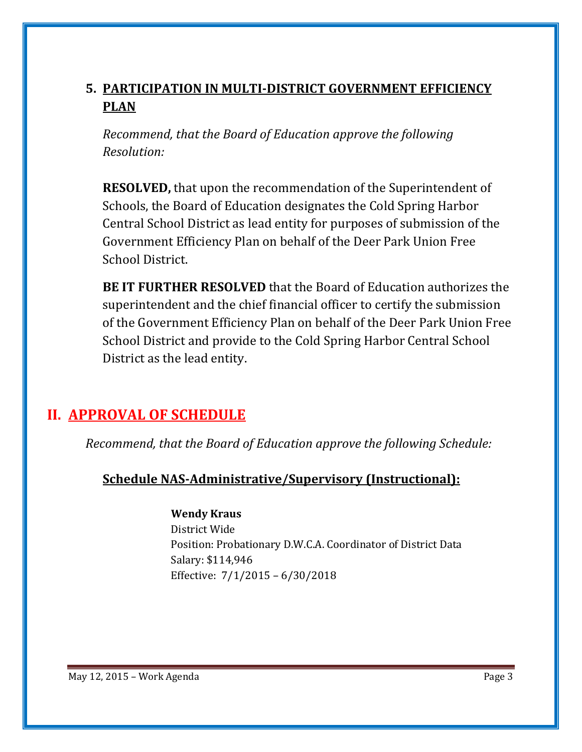# **5. PARTICIPATION IN MULTI‐DISTRICT GOVERNMENT EFFICIENCY PLAN**

*Recommend, that the Board of Education approve the following Resolution:*

**RESOLVED,** that upon the recommendation of the Superintendent of Schools, the Board of Education designates the Cold Spring Harbor Central School District as lead entity for purposes of submission of the Government Efficiency Plan on behalf of the Deer Park Union Free School District.

**BE IT FURTHER RESOLVED** that the Board of Education authorizes the superintendent and the chief financial officer to certify the submission of the Government Efficiency Plan on behalf of the Deer Park Union Free School District and provide to the Cold Spring Harbor Central School District as the lead entity.

# **II. APPROVAL OF SCHEDULE**

*Recommend, that the Board of Education approve the following Schedule:*

## **Schedule NAS‐Administrative/Supervisory (Instructional):**

#### **Wendy Kraus**

District Wide Position: Probationary D.W.C.A. Coordinator of District Data Salary: \$114,946 Effective:  $7/1/2015 - 6/30/2018$